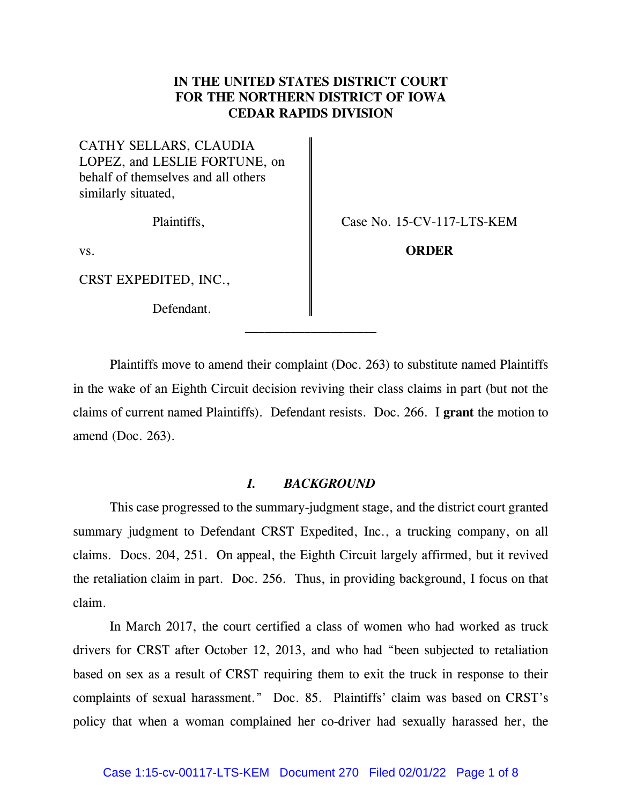## **IN THE UNITED STATES DISTRICT COURT FOR THE NORTHERN DISTRICT OF IOWA CEDAR RAPIDS DIVISION**

CATHY SELLARS, CLAUDIA LOPEZ, and LESLIE FORTUNE, on behalf of themselves and all others similarly situated,

CRST EXPEDITED, INC.,

Defendant.

Plaintiffs.  $\parallel$  Case No. 15-CV-117-LTS-KEM

vs. **ORDER** 

 Plaintiffs move to amend their complaint (Doc. 263) to substitute named Plaintiffs in the wake of an Eighth Circuit decision reviving their class claims in part (but not the claims of current named Plaintiffs). Defendant resists. Doc. 266. I **grant** the motion to amend (Doc. 263).

 $\mathcal{L}_\text{max}$ 

## *I. BACKGROUND*

This case progressed to the summary-judgment stage, and the district court granted summary judgment to Defendant CRST Expedited, Inc., a trucking company, on all claims. Docs. 204, 251. On appeal, the Eighth Circuit largely affirmed, but it revived the retaliation claim in part. Doc. 256. Thus, in providing background, I focus on that claim.

In March 2017, the court certified a class of women who had worked as truck drivers for CRST after October 12, 2013, and who had "been subjected to retaliation based on sex as a result of CRST requiring them to exit the truck in response to their complaints of sexual harassment." Doc. 85. Plaintiffs' claim was based on CRST's policy that when a woman complained her co-driver had sexually harassed her, the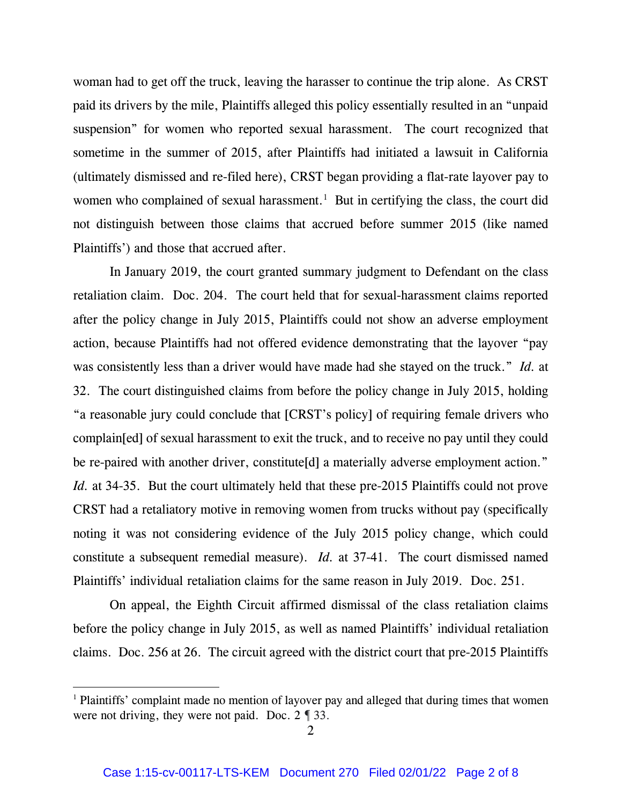woman had to get off the truck, leaving the harasser to continue the trip alone. As CRST paid its drivers by the mile, Plaintiffs alleged this policy essentially resulted in an "unpaid suspension" for women who reported sexual harassment. The court recognized that sometime in the summer of 2015, after Plaintiffs had initiated a lawsuit in California (ultimately dismissed and re-filed here), CRST began providing a flat-rate layover pay to women who complained of sexual harassment.<sup>1</sup> But in certifying the class, the court did not distinguish between those claims that accrued before summer 2015 (like named Plaintiffs') and those that accrued after.

In January 2019, the court granted summary judgment to Defendant on the class retaliation claim. Doc. 204. The court held that for sexual-harassment claims reported after the policy change in July 2015, Plaintiffs could not show an adverse employment action, because Plaintiffs had not offered evidence demonstrating that the layover "pay was consistently less than a driver would have made had she stayed on the truck." *Id.* at 32. The court distinguished claims from before the policy change in July 2015, holding "a reasonable jury could conclude that [CRST's policy] of requiring female drivers who complain[ed] of sexual harassment to exit the truck, and to receive no pay until they could be re-paired with another driver, constitute [d] a materially adverse employment action." *Id.* at 34-35. But the court ultimately held that these pre-2015 Plaintiffs could not prove CRST had a retaliatory motive in removing women from trucks without pay (specifically noting it was not considering evidence of the July 2015 policy change, which could constitute a subsequent remedial measure). *Id.* at 37-41. The court dismissed named Plaintiffs' individual retaliation claims for the same reason in July 2019. Doc. 251.

On appeal, the Eighth Circuit affirmed dismissal of the class retaliation claims before the policy change in July 2015, as well as named Plaintiffs' individual retaliation claims. Doc. 256 at 26. The circuit agreed with the district court that pre-2015 Plaintiffs

<sup>&</sup>lt;sup>1</sup> Plaintiffs' complaint made no mention of layover pay and alleged that during times that women were not driving, they were not paid. Doc. 2  $\sqrt{\ }$  33.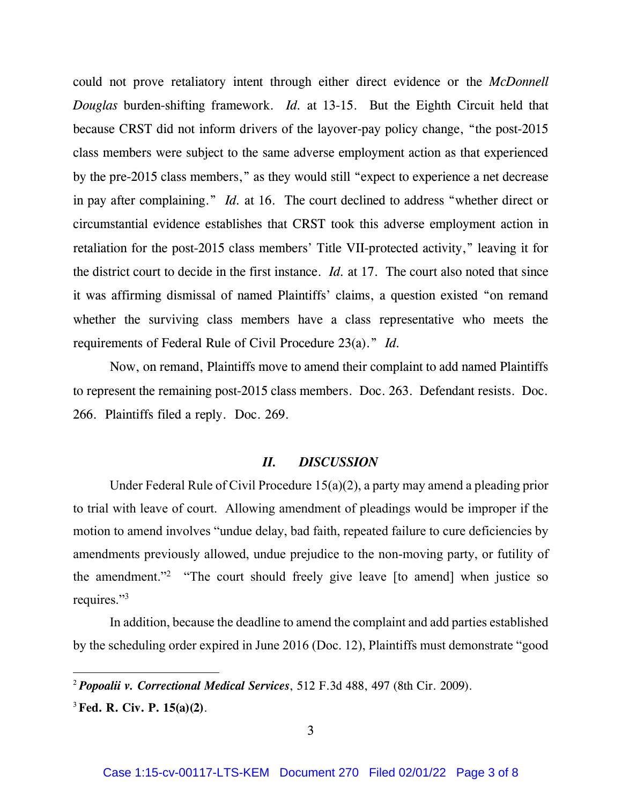could not prove retaliatory intent through either direct evidence or the *McDonnell Douglas* burden-shifting framework. *Id.* at 13-15. But the Eighth Circuit held that because CRST did not inform drivers of the layover-pay policy change, "the post-2015 class members were subject to the same adverse employment action as that experienced by the pre-2015 class members," as they would still "expect to experience a net decrease in pay after complaining." *Id.* at 16. The court declined to address "whether direct or circumstantial evidence establishes that CRST took this adverse employment action in retaliation for the post-2015 class members' Title VII-protected activity," leaving it for the district court to decide in the first instance. *Id.* at 17. The court also noted that since it was affirming dismissal of named Plaintiffs' claims, a question existed "on remand whether the surviving class members have a class representative who meets the requirements of Federal Rule of Civil Procedure 23(a)." *Id.* 

Now, on remand, Plaintiffs move to amend their complaint to add named Plaintiffs to represent the remaining post-2015 class members. Doc. 263. Defendant resists. Doc. 266. Plaintiffs filed a reply. Doc. 269.

## *II. DISCUSSION*

Under Federal Rule of Civil Procedure 15(a)(2), a party may amend a pleading prior to trial with leave of court. Allowing amendment of pleadings would be improper if the motion to amend involves "undue delay, bad faith, repeated failure to cure deficiencies by amendments previously allowed, undue prejudice to the non-moving party, or futility of the amendment."<sup>2</sup> "The court should freely give leave [to amend] when justice so requires."3

 In addition, because the deadline to amend the complaint and add parties established by the scheduling order expired in June 2016 (Doc. 12), Plaintiffs must demonstrate "good

<sup>2</sup>*Popoalii v. Correctional Medical Services*, 512 F.3d 488, 497 (8th Cir. 2009).

<sup>3</sup>**Fed. R. Civ. P. 15(a)(2)**.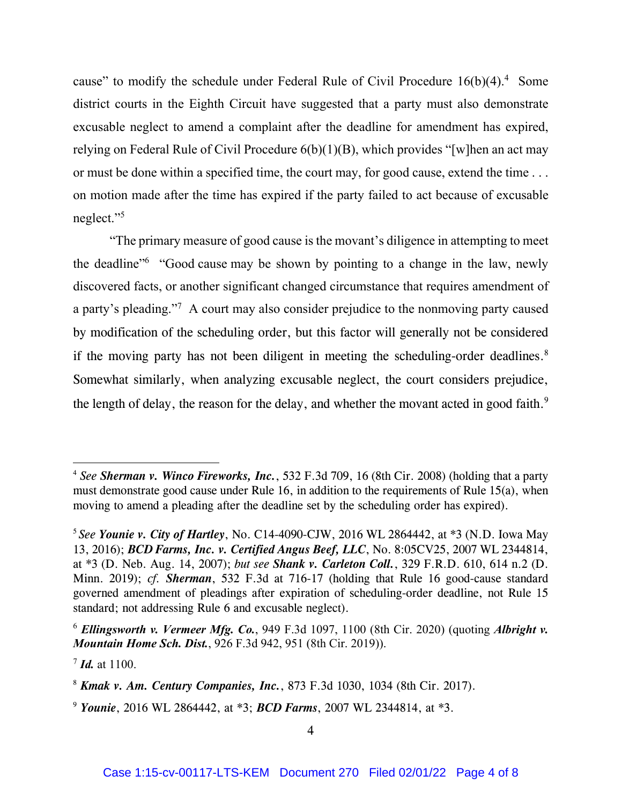cause" to modify the schedule under Federal Rule of Civil Procedure  $16(b)(4)$ .<sup>4</sup> Some district courts in the Eighth Circuit have suggested that a party must also demonstrate excusable neglect to amend a complaint after the deadline for amendment has expired, relying on Federal Rule of Civil Procedure 6(b)(1)(B), which provides "[w]hen an act may or must be done within a specified time, the court may, for good cause, extend the time . . . on motion made after the time has expired if the party failed to act because of excusable neglect."<sup>5</sup>

"The primary measure of good cause is the movant's diligence in attempting to meet the deadline<sup>"6</sup> "Good cause may be shown by pointing to a change in the law, newly discovered facts, or another significant changed circumstance that requires amendment of a party's pleading."<sup>7</sup> A court may also consider prejudice to the nonmoving party caused by modification of the scheduling order, but this factor will generally not be considered if the moving party has not been diligent in meeting the scheduling-order deadlines.<sup>8</sup> Somewhat similarly, when analyzing excusable neglect, the court considers prejudice, the length of delay, the reason for the delay, and whether the movant acted in good faith.<sup>9</sup>

<sup>4</sup> *See Sherman v. Winco Fireworks, Inc.*, 532 F.3d 709, 16 (8th Cir. 2008) (holding that a party must demonstrate good cause under Rule 16, in addition to the requirements of Rule 15(a), when moving to amend a pleading after the deadline set by the scheduling order has expired).

<sup>5</sup>*See Younie v. City of Hartley*, No. C14-4090-CJW, 2016 WL 2864442, at \*3 (N.D. Iowa May 13, 2016); *BCD Farms, Inc. v. Certified Angus Beef, LLC*, No. 8:05CV25, 2007 WL 2344814, at \*3 (D. Neb. Aug. 14, 2007); *but see Shank v. Carleton Coll.*, 329 F.R.D. 610, 614 n.2 (D. Minn. 2019); *cf. Sherman*, 532 F.3d at 716-17 (holding that Rule 16 good-cause standard governed amendment of pleadings after expiration of scheduling-order deadline, not Rule 15 standard; not addressing Rule 6 and excusable neglect).

<sup>6</sup> *Ellingsworth v. Vermeer Mfg. Co.*, 949 F.3d 1097, 1100 (8th Cir. 2020) (quoting *Albright v. Mountain Home Sch. Dist.*, 926 F.3d 942, 951 (8th Cir. 2019)).

<sup>7</sup> *Id.* at 1100.

<sup>8</sup> *Kmak v. Am. Century Companies, Inc.*, 873 F.3d 1030, 1034 (8th Cir. 2017).

<sup>9</sup> *Younie*, 2016 WL 2864442, at \*3; *BCD Farms*, 2007 WL 2344814, at \*3.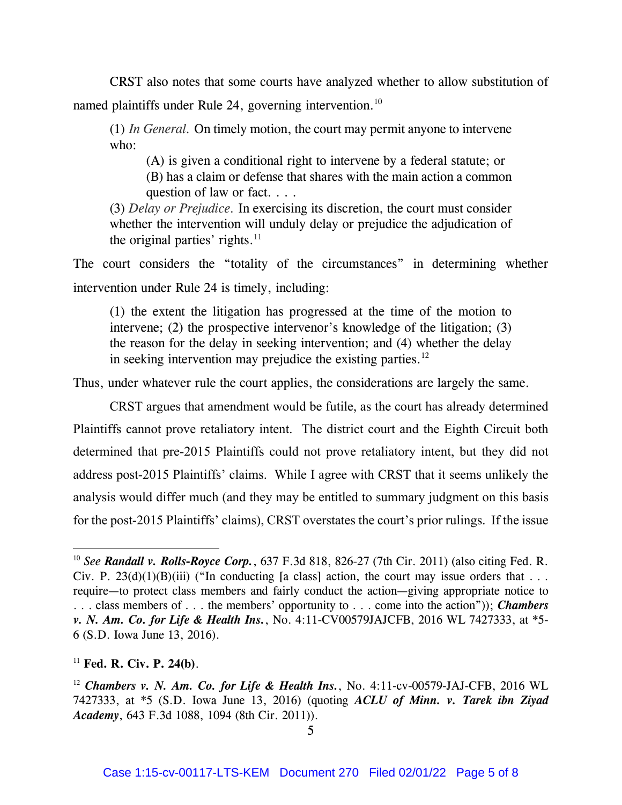CRST also notes that some courts have analyzed whether to allow substitution of named plaintiffs under Rule 24, governing intervention.<sup>10</sup>

(1) *In General.* On timely motion, the court may permit anyone to intervene who:

(A) is given a conditional right to intervene by a federal statute; or (B) has a claim or defense that shares with the main action a common question of law or fact. . . .

(3) *Delay or Prejudice.* In exercising its discretion, the court must consider whether the intervention will unduly delay or prejudice the adjudication of the original parties' rights. $11$ 

The court considers the "totality of the circumstances" in determining whether intervention under Rule 24 is timely, including:

(1) the extent the litigation has progressed at the time of the motion to intervene; (2) the prospective intervenor's knowledge of the litigation; (3) the reason for the delay in seeking intervention; and (4) whether the delay in seeking intervention may prejudice the existing parties.<sup>12</sup>

Thus, under whatever rule the court applies, the considerations are largely the same.

CRST argues that amendment would be futile, as the court has already determined Plaintiffs cannot prove retaliatory intent. The district court and the Eighth Circuit both determined that pre-2015 Plaintiffs could not prove retaliatory intent, but they did not address post-2015 Plaintiffs' claims. While I agree with CRST that it seems unlikely the analysis would differ much (and they may be entitled to summary judgment on this basis for the post-2015 Plaintiffs' claims), CRST overstates the court's prior rulings. If the issue

<sup>10</sup> *See Randall v. Rolls-Royce Corp.*, 637 F.3d 818, 826-27 (7th Cir. 2011) (also citing Fed. R. Civ. P. 23(d)(1)(B)(iii) ("In conducting [a class] action, the court may issue orders that  $\dots$ require—to protect class members and fairly conduct the action—giving appropriate notice to . . . class members of . . . the members' opportunity to . . . come into the action")); *Chambers v. N. Am. Co. for Life & Health Ins.*, No. 4:11-CV00579JAJCFB, 2016 WL 7427333, at \*5- 6 (S.D. Iowa June 13, 2016).

<sup>11</sup> **Fed. R. Civ. P. 24(b)**.

<sup>&</sup>lt;sup>12</sup> *Chambers v. N. Am. Co. for Life & Health Ins.*, No. 4:11-cv-00579-JAJ-CFB, 2016 WL 7427333, at \*5 (S.D. Iowa June 13, 2016) (quoting *ACLU of Minn. v. Tarek ibn Ziyad Academy*, 643 F.3d 1088, 1094 (8th Cir. 2011)).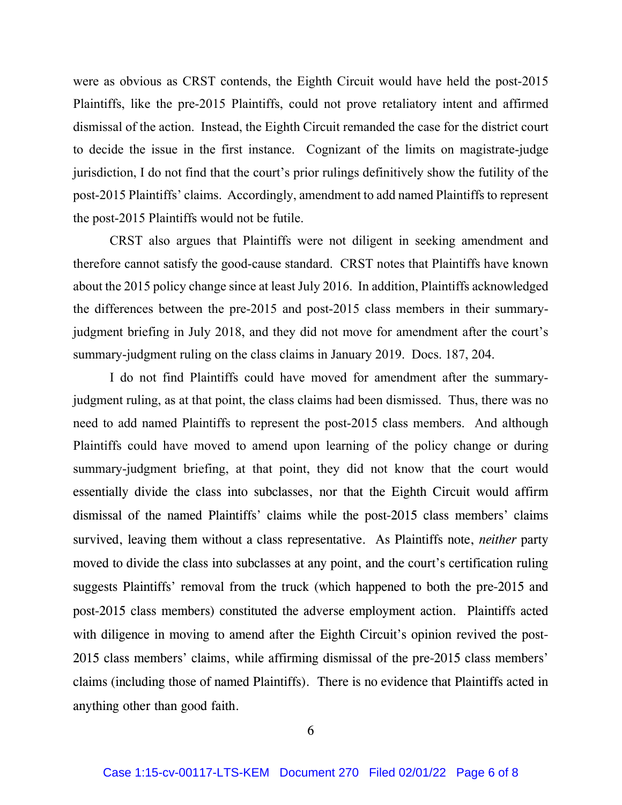were as obvious as CRST contends, the Eighth Circuit would have held the post-2015 Plaintiffs, like the pre-2015 Plaintiffs, could not prove retaliatory intent and affirmed dismissal of the action. Instead, the Eighth Circuit remanded the case for the district court to decide the issue in the first instance. Cognizant of the limits on magistrate-judge jurisdiction, I do not find that the court's prior rulings definitively show the futility of the post-2015 Plaintiffs' claims. Accordingly, amendment to add named Plaintiffs to represent the post-2015 Plaintiffs would not be futile.

CRST also argues that Plaintiffs were not diligent in seeking amendment and therefore cannot satisfy the good-cause standard. CRST notes that Plaintiffs have known about the 2015 policy change since at least July 2016. In addition, Plaintiffs acknowledged the differences between the pre-2015 and post-2015 class members in their summaryjudgment briefing in July 2018, and they did not move for amendment after the court's summary-judgment ruling on the class claims in January 2019. Docs. 187, 204.

I do not find Plaintiffs could have moved for amendment after the summaryjudgment ruling, as at that point, the class claims had been dismissed. Thus, there was no need to add named Plaintiffs to represent the post-2015 class members. And although Plaintiffs could have moved to amend upon learning of the policy change or during summary-judgment briefing, at that point, they did not know that the court would essentially divide the class into subclasses, nor that the Eighth Circuit would affirm dismissal of the named Plaintiffs' claims while the post-2015 class members' claims survived, leaving them without a class representative. As Plaintiffs note, *neither* party moved to divide the class into subclasses at any point, and the court's certification ruling suggests Plaintiffs' removal from the truck (which happened to both the pre-2015 and post-2015 class members) constituted the adverse employment action. Plaintiffs acted with diligence in moving to amend after the Eighth Circuit's opinion revived the post-2015 class members' claims, while affirming dismissal of the pre-2015 class members' claims (including those of named Plaintiffs). There is no evidence that Plaintiffs acted in anything other than good faith.

6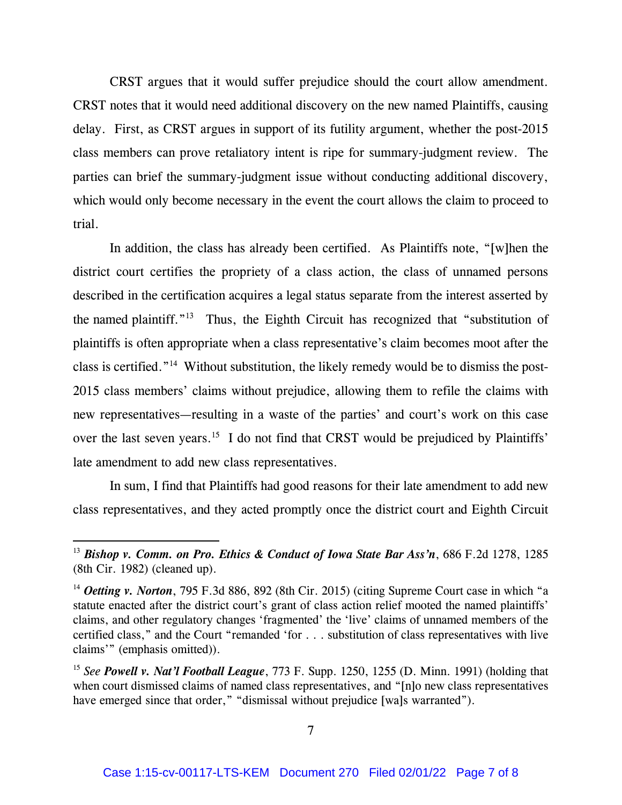CRST argues that it would suffer prejudice should the court allow amendment. CRST notes that it would need additional discovery on the new named Plaintiffs, causing delay. First, as CRST argues in support of its futility argument, whether the post-2015 class members can prove retaliatory intent is ripe for summary-judgment review. The parties can brief the summary-judgment issue without conducting additional discovery, which would only become necessary in the event the court allows the claim to proceed to trial.

In addition, the class has already been certified. As Plaintiffs note, "[w]hen the district court certifies the propriety of a class action, the class of unnamed persons described in the certification acquires a legal status separate from the interest asserted by the named plaintiff."13 Thus, the Eighth Circuit has recognized that "substitution of plaintiffs is often appropriate when a class representative's claim becomes moot after the class is certified."14 Without substitution, the likely remedy would be to dismiss the post-2015 class members' claims without prejudice, allowing them to refile the claims with new representatives—resulting in a waste of the parties' and court's work on this case over the last seven years.<sup>15</sup> I do not find that CRST would be prejudiced by Plaintiffs' late amendment to add new class representatives.

In sum, I find that Plaintiffs had good reasons for their late amendment to add new class representatives, and they acted promptly once the district court and Eighth Circuit

<sup>13</sup> *Bishop v. Comm. on Pro. Ethics & Conduct of Iowa State Bar Ass'n*, 686 F.2d 1278, 1285 (8th Cir. 1982) (cleaned up).

<sup>&</sup>lt;sup>14</sup> *Oetting v. Norton*, 795 F.3d 886, 892 (8th Cir. 2015) (citing Supreme Court case in which "a statute enacted after the district court's grant of class action relief mooted the named plaintiffs' claims, and other regulatory changes 'fragmented' the 'live' claims of unnamed members of the certified class," and the Court "remanded 'for . . . substitution of class representatives with live claims'" (emphasis omitted)).

<sup>15</sup> *See Powell v. Nat'l Football League*, 773 F. Supp. 1250, 1255 (D. Minn. 1991) (holding that when court dismissed claims of named class representatives, and "[n]o new class representatives have emerged since that order," "dismissal without prejudice [wa]s warranted").